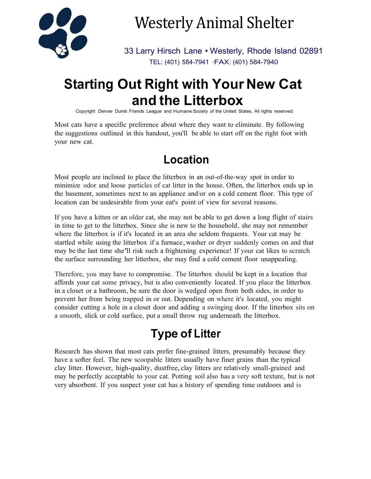

# Westerly Animal Shelter

33 Larry Hirsch Lane • Westerly, Rhode Island 02891 TEL: (401) 584-7941 ·FAX: (401) 584-7940

# **Starting Out Right with Your New Cat and the Litterbox**

Copyright Denver Dumb Friends League and Humane Society of the United States. All rights reserved.

Most cats have a specific preference about where they want to eliminate. By following the suggestions outlined in this handout, you'll be able to start off on the right foot with your new cat.

### **Location**

Most people are inclined to place the litterbox in an out-of-the-way spot in order to minimize odor and loose particles of cat litter in the house. Often, the litterbox ends up in the basement, sometimes next to an appliance and/or on a cold cement floor. This type of location can be undesirable from your eat's point of view for several reasons.

If you have a kitten or an older cat, she may not be able to get down a long flight of stairs in time to get to the litterbox. Since she is new to the household, she may not remember where the litterbox is if it's located in an area she seldom frequents. Your cat may be startled while using the litterbox if a furnace, washer or dryer suddenly comes on and that may be the last time she'll risk such a frightening experience! If your cat likes to scratch the surface surrounding her litterbox, she may find a cold cement floor unappealing.

Therefore, you may have to compromise. The litterbox should be kept in a location that affords your cat some privacy, but is also conveniently located. If you place the litterbox in a closet or a bathroom, be sure the door is wedged open from both sides, in order to prevent her from being trapped in or out. Depending on where it's located, you might consider cutting a hole in a closet door and adding a swinging door. If the litterbox sits on a smooth, slick or cold surface, put a small throw rug underneath the litterbox.

# **Type of Litter**

Research has shown that most cats prefer fine-grained litters, presumably because they have a softer feel. The new scoopable litters usually have finer grains than the typical clay litter. However, high-quality, dustfree,clay litters are relatively small-grained and may be perfectly acceptable to your cat. Potting soil also has a very soft texture, but is not very absorbent. If you suspect your cat has a history of spending time outdoors and is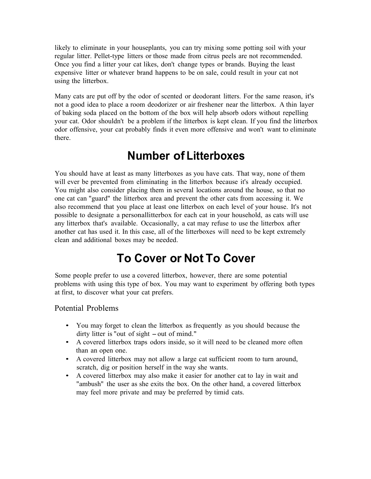likely to eliminate in your houseplants, you can try mixing some potting soil with your regular litter. Pellet-type litters or those made from citrus peels are not recommended. Once you find a litter your cat likes, don't change types or brands. Buying the least expensive litter or whatever brand happens to be on sale, could result in your cat not using the litterbox.

Many cats are put off by the odor of scented or deodorant litters. For the same reason, it's not a good idea to place a room deodorizer or air freshener near the litterbox. A thin layer of baking soda placed on the bottom of the box will help absorb odors without repelling your cat. Odor shouldn't be a problem if the litterbox is kept clean. If you find the litterbox odor offensive, your cat probably finds it even more offensive and won't want to eliminate there.

#### **Number of Litterboxes**

You should have at least as many litterboxes as you have cats. That way, none of them will ever be prevented from eliminating in the litterbox because it's already occupied. You might also consider placing them in several locations around the house, so that no one cat can "guard" the litterbox area and prevent the other cats from accessing it. We also recommend that you place at least one litterbox on each level of your house. It's not possible to designate a personallitterbox for each cat in your household, as cats will use any litterbox that's available. Occasionally, a cat may refuse to use the litterbox after another cat has used it. In this case, all of the litterboxes will need to be kept extremely clean and additional boxes may be needed.

## **To Cover or Not To Cover**

Some people prefer to use a covered litterbox, however, there are some potential problems with using this type of box. You may want to experiment by offering both types at first, to discover what your cat prefers.

Potential Problems

- You may forget to clean the litterbox as frequently as you should because the dirty litter is "out of sight – out of mind."
- A covered litterbox traps odors inside, so it will need to be cleaned more often than an open one.
- A covered litterbox may not allow a large cat sufficient room to turn around, scratch, dig or position herself in the way she wants.
- A covered litterbox may also make it easier for another cat to lay in wait and "ambush" the user as she exits the box. On the other hand, a covered litterbox may feel more private and may be preferred by timid cats.